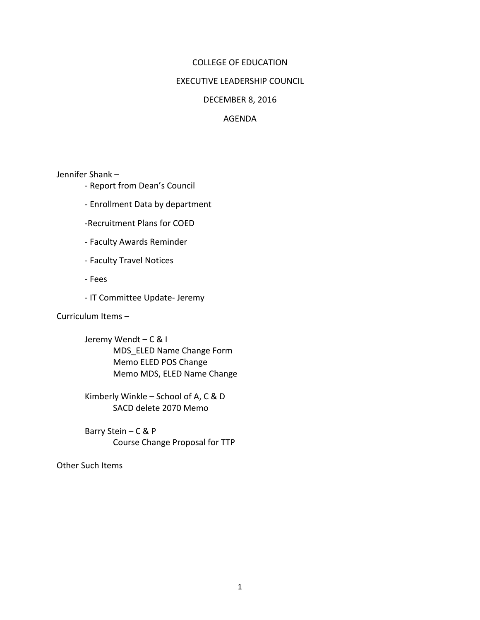### COLLEGE OF EDUCATION

#### **EXECUTIVE LEADERSHIP COUNCIL**

#### DECEMBER 8, 2016

### AGENDA

Jennifer Shank -

- Report from Dean's Council
- Enrollment Data by department
- -Recruitment Plans for COED
- Faculty Awards Reminder
- Faculty Travel Notices
- Fees
- IT Committee Update- Jeremy

Curriculum Items -

Jeremy Wendt-C & I MDS\_ELED Name Change Form Memo ELED POS Change Memo MDS, ELED Name Change

Kimberly Winkle  $-$  School of A, C & D SACD delete 2070 Memo

Barry Stein – C & P Course Change Proposal for TTP

Other Such Items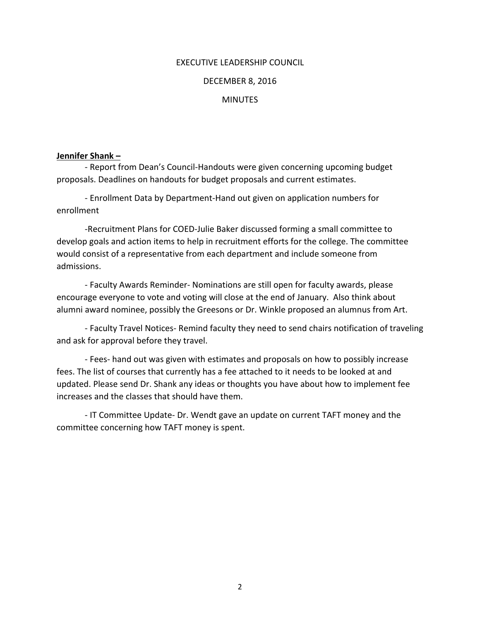## EXECUTIVE LEADERSHIP COUNCIL

#### DECEMBER 8, 2016

#### **MINUTFS**

#### **Jennifer Shank –**

- Report from Dean's Council-Handouts were given concerning upcoming budget proposals. Deadlines on handouts for budget proposals and current estimates.

- Enrollment Data by Department-Hand out given on application numbers for enrollment

-Recruitment Plans for COED-Julie Baker discussed forming a small committee to develop goals and action items to help in recruitment efforts for the college. The committee would consist of a representative from each department and include someone from admissions. 

- Faculty Awards Reminder- Nominations are still open for faculty awards, please encourage everyone to vote and voting will close at the end of January. Also think about alumni award nominee, possibly the Greesons or Dr. Winkle proposed an alumnus from Art.

- Faculty Travel Notices- Remind faculty they need to send chairs notification of traveling and ask for approval before they travel.

- Fees- hand out was given with estimates and proposals on how to possibly increase fees. The list of courses that currently has a fee attached to it needs to be looked at and updated. Please send Dr. Shank any ideas or thoughts you have about how to implement fee increases and the classes that should have them.

- IT Committee Update- Dr. Wendt gave an update on current TAFT money and the committee concerning how TAFT money is spent.